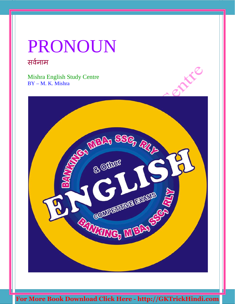# PRONOUN सर्वनाम

Mishra English Study Centre BY – M. K. Mishra

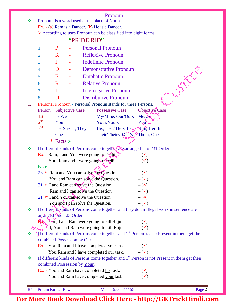| on | OΓ |  |
|----|----|--|

|    |                              |                                   |                        |                              | Pronoun                                                                                         |                                                                                                         |  |
|----|------------------------------|-----------------------------------|------------------------|------------------------------|-------------------------------------------------------------------------------------------------|---------------------------------------------------------------------------------------------------------|--|
| ❖  |                              |                                   |                        |                              | Pronoun is a word used at the place of Noun.                                                    |                                                                                                         |  |
|    |                              |                                   |                        |                              | Ex.:- (a) Ram is a Dancer. (b) $He$ is a Dancer.                                                |                                                                                                         |  |
|    |                              |                                   |                        |                              | > According to uses Pronoun can be classified into eight forms.                                 |                                                                                                         |  |
|    |                              |                                   |                        | "PRIDE RID"                  |                                                                                                 |                                                                                                         |  |
|    | 1.                           | P                                 |                        |                              | <b>Personal Pronoun</b>                                                                         |                                                                                                         |  |
|    | 2.                           | $\mathbf R$                       | ٠                      |                              | <b>Reflexive Pronoun</b>                                                                        |                                                                                                         |  |
|    | 3.                           | $\bf{I}$                          |                        |                              | <b>Indefinite Pronoun</b>                                                                       |                                                                                                         |  |
|    | 4.                           | D                                 |                        |                              | <b>Demonstrative Pronoun</b>                                                                    |                                                                                                         |  |
|    | 5.                           | E                                 |                        |                              | <b>Emphatic Pronoun</b>                                                                         | DEFE                                                                                                    |  |
|    | 6.                           | $\mathbf{R}$                      |                        |                              | <b>Relative Pronoun</b>                                                                         |                                                                                                         |  |
|    | 7.                           | $\bf{I}$                          |                        |                              | <b>Interrogative Pronoun</b>                                                                    |                                                                                                         |  |
|    | 8.                           | D                                 |                        |                              | <b>Distributive Pronoun</b>                                                                     |                                                                                                         |  |
| 1. |                              |                                   |                        |                              | Personal Pronoun - Personal Pronoun stands for three Persons.                                   |                                                                                                         |  |
|    | Person                       |                                   | <b>Subjective Case</b> |                              | <b>Possessive Case</b>                                                                          | Objective Case                                                                                          |  |
|    | 1st                          | $I$ / We                          |                        |                              | My/Mine, Our/Ours                                                                               | Me/Us                                                                                                   |  |
|    | 2 <sup>nd</sup>              | You                               |                        |                              | Your/Yours                                                                                      | You                                                                                                     |  |
|    | 3 <sup>rd</sup>              |                                   | He, She, It, They      |                              | His, Her / Hers, Its                                                                            | Him, Her, It                                                                                            |  |
|    |                              | One                               |                        |                              | Their/Theirs, One's                                                                             | Them, One                                                                                               |  |
|    |                              | $\star$<br>Facts $\triangleright$ |                        |                              |                                                                                                 |                                                                                                         |  |
| ❖  |                              |                                   |                        |                              |                                                                                                 | If different kinds of Persons come together are arranged into 231 Order.                                |  |
|    |                              |                                   |                        |                              | Ex.:- Ram, I and You were going to Delhi.                                                       | $-({\bf x})$                                                                                            |  |
|    |                              |                                   |                        |                              | You, Ram and I were going to Delhi.                                                             | $-(\checkmark)$                                                                                         |  |
|    | Note –                       |                                   |                        |                              |                                                                                                 |                                                                                                         |  |
|    |                              |                                   |                        |                              | 23 $\blacktriangleright$ Ram and You can solve the Question.                                    | $-({\bf x})$                                                                                            |  |
|    |                              |                                   |                        |                              | You and Ram can solve the Question.                                                             | $-(\checkmark)$                                                                                         |  |
|    |                              |                                   |                        |                              | 31 $\blacktriangleright$ I and Ram can solve the Question.<br>Ram and I can solve the Question. | $-({\bf x})$<br>$ (\checkmark)$                                                                         |  |
|    |                              |                                   |                        |                              | $21 \in I$ and You can solve the Question.                                                      | $-({\bf x})$                                                                                            |  |
|    |                              |                                   |                        |                              | You and I can solve the Question.                                                               | $-(\checkmark)$                                                                                         |  |
| ❖  |                              |                                   |                        |                              |                                                                                                 | If different kinds of Persons come together and they do an Illegal work in sentence are                 |  |
|    | arranged into 123 Order.     |                                   |                        |                              |                                                                                                 |                                                                                                         |  |
|    |                              |                                   |                        |                              | <b>Ex</b> : You, I and Ram were going to kill Raju. $-(x)$                                      |                                                                                                         |  |
|    |                              |                                   |                        |                              | I, You and Ram were going to kill Raju. $-(\checkmark)$                                         |                                                                                                         |  |
|    |                              |                                   |                        |                              |                                                                                                 | If different kinds of Persons come together and $1st$ Person is also Present in them get their          |  |
|    |                              |                                   |                        | combined Possession by Our.  |                                                                                                 |                                                                                                         |  |
|    |                              |                                   |                        |                              | Ex.:- You Ram and I have completed your task. $-(\star)$                                        |                                                                                                         |  |
|    |                              |                                   |                        |                              | You Ram and I have completed <u>our</u> task. $-(\checkmark)$                                   |                                                                                                         |  |
| ❖  |                              |                                   |                        |                              |                                                                                                 | If different kinds of Persons come together and 1 <sup>st</sup> Person is not Present in them get their |  |
|    |                              |                                   |                        | combined Possession by Your. |                                                                                                 |                                                                                                         |  |
|    |                              |                                   |                        |                              | Ex.:- You and Ram have completed his task.<br>You and Ram have completed your task.             | $ (\star)$<br>$-(\checkmark)$                                                                           |  |
|    |                              |                                   |                        |                              |                                                                                                 |                                                                                                         |  |
|    | <b>BY</b> - Pritam Kumar Raw |                                   |                        |                              | Mob. - 9534411155                                                                               | Page 2                                                                                                  |  |
|    |                              |                                   |                        |                              |                                                                                                 |                                                                                                         |  |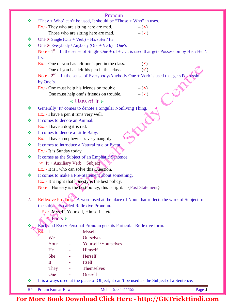|    | Pronoun                                                                                                   |
|----|-----------------------------------------------------------------------------------------------------------|
| ❖  | "They + Who" can't be used, It should be "Those + Who" in uses.                                           |
|    | Ex.:- They who are sitting here are mad.<br>$-({\bf x})$                                                  |
|    | $-(\checkmark)$<br>Those who are sitting here are mad.                                                    |
| ❖  | One $\triangleright$ Single (One + Verb) – His / Her / Its                                                |
| ❖  | One $\triangleright$ Everybody / Anybody (One + Verb) – One's                                             |
|    | Note - $1^{st}$ – In the sense of Single One + of + , is used that gets Possession by His \ Her \<br>Its. |
|    | Ex.:- One of you has left <u>one's</u> pen in the class. $-(x)$                                           |
|    | One of you has left his pen in this class.<br>$ (\checkmark)$                                             |
|    | Note - $2nd$ – In the sense of Everybody\Anybody One + Verb is used that gets Possession<br>by One's.     |
|    | Ex.:- One must help his friends on trouble.<br>$-({\bf x})$                                               |
|    | $-$ ( $\checkmark$ )<br>One must help one's friends on trouble.                                           |
|    | $\triangleleft$ Uses of It $\triangleright$                                                               |
|    |                                                                                                           |
| ❖  | Generally 'It' comes to denote a Singular Nonliving Thing.                                                |
|    | Ex.:- I have a pen it runs very well.                                                                     |
| ❖  | It comes to denote an Animal.                                                                             |
|    | Ex.:- I have a dog it is red.                                                                             |
| ❖  | It comes to denote a Little Baby.                                                                         |
|    | $Ex.:$ I have a nephew it is very naughty.                                                                |
| ❖  | It comes to introduce a Natural rule or Event.                                                            |
|    | Ex.:- It is Sunday today.                                                                                 |
| ❖  | It comes as the Subject of an Emphatic Sentence.                                                          |
|    | $\bullet$ It + Auxiliary Verb + Subject                                                                   |
|    | $Ex.:$ It is I who can solve this Question.                                                               |
| ❖  | It comes to make a Pre-Statement about something.                                                         |
|    | Ex.:- It is right that honesty is the best policy.                                                        |
|    | Note – Honesty is the best policy, this is right. $-$ {Post Statement}                                    |
| 2. | Reflexive Pronoun A word used at the place of Noun that reflects the work of Subject to                   |
|    | the subject is called Reflexive Pronoun.                                                                  |
|    | Ex.:- Myself, Yourself, Himself  etc.                                                                     |
|    | <del>«</del> Facts ≻                                                                                      |
| ❖  |                                                                                                           |
|    | Each and Every Personal Pronoun gets its Particular Reflexive form.                                       |
|    | <b>Myself</b><br>$Ex. - I$                                                                                |
|    | <b>Ourselves</b><br>We                                                                                    |
|    | Your<br>Yourself \Yourselves                                                                              |
|    | He<br>Himself<br>$\equiv$                                                                                 |
|    | Herself<br><b>She</b>                                                                                     |
|    | Itself<br>It                                                                                              |
|    | Themselves<br>They                                                                                        |
|    | Oneself<br>One                                                                                            |
| ≪  | It is always used at the place of Object, it can't be used as the Subject of a Sentence.                  |
|    | <b>BY</b> - Pritam Kumar Raw<br>Mob. - 9534411155<br>Page 3                                               |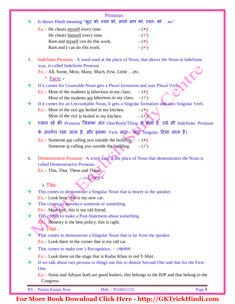|    | Pronoun                                                                                                                                |
|----|----------------------------------------------------------------------------------------------------------------------------------------|
| ❖  | It shows Hindi meaning "खुद को, स्वयं को, अपने आप को, स्वतः को etc"                                                                    |
|    | Ex.:- He cheats myself every time.<br>$-({\bf x})$                                                                                     |
|    | $-(\checkmark)$<br>He cheats himself every time.                                                                                       |
|    | Ram and myself can do this work.<br>$-({\bf x})$                                                                                       |
|    | $-(\checkmark)$<br>Ram and I can do this work.                                                                                         |
| 3. | Indefinite Pronoun - A word used at the place of Noun, that shows the Noun in Indefinite                                               |
|    | way, is called Indefinite Pronoun.                                                                                                     |
|    | Ex.:- All, Some, Most, Many, Much, Few, Little etc.<br>* Facts $\triangleright$                                                        |
| ❖  | If it comes for Countable Noun gets a Plural formation and uses Plural Verba                                                           |
|    | Ex.:- Most of the students $\underline{\text{is}}$ laborious in my class.<br>$-({\bf x})$                                              |
|    | Most of the students <u>are</u> laborious in my class. $-(\checkmark)$                                                                 |
| ❖  | If it comes for an Uncountable Noun, It gets a Singular formation and uses Singular Verb.                                              |
|    | $Ex.:$ Most of the rice <u>are</u> boiled in my kitchen.<br>$-(\star)$                                                                 |
|    | $-\left(\sqrt[3]{2}\right)^{3}$<br>Most of the rice is boiled in my kitchen.                                                           |
| ❖  | ध्यान रहे की Pronoun जिसका अंत One/Body/Thing से होती हैं, उसे भी Indefinite Pronoun                                                   |
|    | के अंतर्गत रखा जाता है, और इसका Verb सद्रा सदा Singular दिया जाता है।                                                                  |
|    | Ex.:- Someone are calling you outside the building.<br>$-({\bf x})$<br>Someone is calling you outside the building.<br>$-(\checkmark)$ |
|    |                                                                                                                                        |
| 4. | Demonstrative Pronoun - A word used at the place of Noun that demonstrates the Noun is                                                 |
|    | called Demonstrative Pronoun.                                                                                                          |
|    | Ex.:- This, That, These and Those,                                                                                                     |
|    | «Uses                                                                                                                                  |
|    | $\triangleright$ This -                                                                                                                |
| ❖  | This comes to demonstrate a Singular Noun that is nearer to the speaker.                                                               |
|    | Ex.:- Look here, this is my new car.                                                                                                   |
| ❖  | This comes to introduce someone or something.                                                                                          |
|    | Ex.:- Meat him, this is my old friend.                                                                                                 |
| ❖  | This comes to make a Post-Statement about something.                                                                                   |
|    | $\mathbf{Ex}$ : Honesty is the best policy, this is right.                                                                             |
|    | $\triangleright$ That -                                                                                                                |
| ❖  | That comes to demonstrate a Singular Noun that is far from the speaker.                                                                |
|    | Ex.:- Look there in the corner that is my old car.                                                                                     |
| ❖  | That comes to make one's Recognition. - (पहचान)                                                                                        |
|    | Ex.:- Look there on the stage that is Kadar Khan in red T-Shirt.                                                                       |
| ❖  | If we talk about two persons or things use this to denote Second-One and that for the First-<br>One.                                   |
|    | Ex.:- Sonia and Advani both are good leaders, this belongs to the BJP and that belong to the                                           |
|    | Congress.                                                                                                                              |
|    | <b>BY</b> - Pritam Kumar Raw<br>Page 4<br>Mob. - 9534411155                                                                            |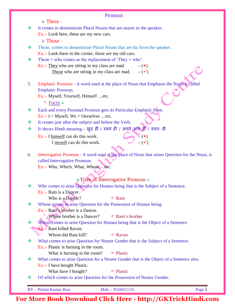|    | Pronoun                                                                                                              |
|----|----------------------------------------------------------------------------------------------------------------------|
|    | $\triangleright$ These -                                                                                             |
| ❖  | It comes to demonstrate Plural Nouns that are nearer to the speaker.                                                 |
|    | Ex.:- Look here, these are my new cars.                                                                              |
|    | $\triangleright$ Those -                                                                                             |
| ❖  | Those, comes to demonstrate Plural Nouns that are far from the speaker.                                              |
|    | $Ex.:$ Look there in the corner, those are my old cars.                                                              |
| 豪  | Those + who comes as the replacement of 'They + who'.                                                                |
|    | Ex.:- They who are sitting in my class are mad.<br>$-({\bf x})$                                                      |
|    | Those who are sitting in my class are mad.<br>$-(\checkmark)$                                                        |
|    |                                                                                                                      |
| 5. | Emphatic Pronoun - A word used at the place of Noun that Emphasis the Noun is called                                 |
|    | Emphatic Pronoun.                                                                                                    |
|    | Ex.:- Myself, Yourself, Himself etc.                                                                                 |
|    | * Facts $\triangleright$                                                                                             |
| ❖  | Each and every Personal Pronoun gets its Particular Emphatic from.                                                   |
|    | Ex.:- I = Myself, We = Ourselves  etc.                                                                               |
| ❖  | It comes just after the subject and before the Verb.                                                                 |
| ❖  | It shows Hindi meaning – खुद ही / स्वयं ही / अपने आप ही / स्वतः ही                                                   |
|    | Ex.:- I himself can do this work.<br>$\mathbb{Z}\left(\mathbf{x}\right)$                                             |
|    | $-(\checkmark)$<br>I myself can do this work.                                                                        |
|    |                                                                                                                      |
| 6. | Interrogative Pronoun - A word used at the place of Noun that arises Question for the Noun, is                       |
|    | called Interrogative Pronoun.                                                                                        |
|    | Ex.:- Who, Which, What, Whometc.                                                                                     |
|    |                                                                                                                      |
|    | Uses of Interrogative Pronoun $\triangleright$                                                                       |
| ❖  | Who comes to arise Question for Human being that is the Subject of a Sentence.                                       |
|    | Ex.:- Ram is a Dancer.                                                                                               |
|    | Who is a Dancer?<br><b>☞ Ram</b>                                                                                     |
| ❖  | Whose comes to arise Question for the Possession of Human being.                                                     |
|    | Ex.:- Ram's brother is a Dancer.                                                                                     |
|    | Whose brother is a Dancer?<br><b>The Ram's brother</b>                                                               |
| 豪  | Whom comes to arise Question for Human being that is the Object of a Sentence.                                       |
|    | <b>Ex.:</b> Ram killed Ravan.                                                                                        |
|    | Whom did Ram kill?<br><b>T</b> Ravan                                                                                 |
| ❖  | What comes to arise Question for Neuter Gender that is the Subject of a Sentence.                                    |
|    | $Ex.:$ Plastic is burning in the room.                                                                               |
|    | What is burning in the room?<br><sup>T</sup> Plastic                                                                 |
| 豪  | What comes to arise Question for a Neuter Gender that is the Object of a Sentence also.                              |
|    | Ex.:- I have bought Plastic.                                                                                         |
| 豪  | What have I bought?<br><sup>T</sup> Plastic<br>Of which comes to arise Question for the Possession of Neuter Gender. |
|    |                                                                                                                      |
|    | Page 5<br><b>BY</b> - Pritam Kumar Raw<br>Mob. - 9534411155                                                          |
|    |                                                                                                                      |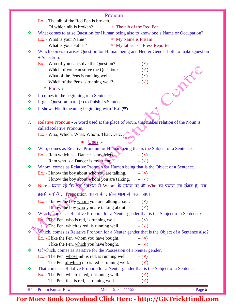|    | Pronoun                                                                                                                      |
|----|------------------------------------------------------------------------------------------------------------------------------|
|    | Ex.:- The nib of the Red Pen is broken.                                                                                      |
|    | Of which nib is broken?<br>The nib of the Red Pen                                                                            |
| ❖  | What comes to arise Question for Human being also to know one's Name or Occupation?                                          |
|    | Ex.:- What is your Name?<br>• My Name is Pritam                                                                              |
|    | • My father is a Press Reporter<br>What is your Father?                                                                      |
| ❖  | Which comes to arises Question for Human being and Neuter Gender both to make Question                                       |
|    | + Selection.                                                                                                                 |
|    | Ex.:- Who of you can solve the Question?<br>$-({\bf x})$                                                                     |
|    | $-(\checkmark)$<br>Which of you can solve the Question?                                                                      |
|    | $-({\bf x})$<br>What of the Pens is running well?                                                                            |
|    | Which of the Pens is running well?<br>$-(\checkmark)$                                                                        |
|    | * Facts $\triangleright$                                                                                                     |
| ❖  | It comes in the beginning of a Sentence.                                                                                     |
| ❖  | It gets Question mark (?) to finish its Sentence.                                                                            |
| ❖  | It shows Hindi meaning beginning with 'Ka' $(\overline{\Phi})$                                                               |
|    |                                                                                                                              |
| 7. | Relative Pronoun - A word used at the place of Noun, that makes relation of the Noun is                                      |
|    | called Relative Pronoun.                                                                                                     |
|    | Ex.:- Who, Which, What, Whom, That etc.                                                                                      |
|    | Uses $\triangleright$                                                                                                        |
|    |                                                                                                                              |
| ❖  | Who, comes as Relative Pronoun for Human being that is the Subject of a Sentence.                                            |
|    | Ex.:- Ram which is a Dancer is my friend.<br>$-({\bf x})$<br>$ (\checkmark)$                                                 |
|    | Ram who is a Dancer is my friend.                                                                                            |
| ❖  | Whom, comes as Relative Pronoun for Human being that is the Object of a Sentence.<br>$-({\bf x})$                            |
|    | Ex.:- I know the boy about $\underline{w}$ boy are talking.<br>I know the boy about whom you are talking.<br>$-(\checkmark)$ |
|    |                                                                                                                              |
| 豪  | Note – ध्यान रहे कि इस अवैस्था मे Whom के स्थान पर भी Who का प्रयोग तब संभव है, जब                                           |
|    | इससे संबन्धित Preposition वाक्य के अंतिम भाग मे चला जाए।                                                                     |
|    | Ex.:- I know the boy whom you are talking about.<br>$-({\bf x})$                                                             |
|    | I know the boy who you are talking about.<br>$-(\checkmark)$                                                                 |
| 榛  | Which, comes as Relative Pronoun for a Neuter gender that is the Subject of a Sentence?                                      |
|    | $\mathbf{F} \mathbf{x}$ : The Pen, who is red, is running well.<br>$-({\bf x})$                                              |
|    | The Pen, which is red, is running well.<br>$-(\checkmark)$                                                                   |
|    | Which, comes as Relative Pronoun for a Neuter gender that is the Object of a Sentence also?                                  |
|    | $Ex.:$ I like the Pen, whom you have bought.<br>$-({\bf x})$                                                                 |
|    | I like the Pen, which you have bought.<br>$-(\checkmark)$                                                                    |
| ❖  | Of which, comes as Relative for the Possession of a Neuter gender.                                                           |
|    | Ex.:- The Pen, whose nib is red, is running well.<br>$-({\bf x})$                                                            |
|    | $-(\checkmark)$<br>The Pen of which nib is red is running well.                                                              |
| ❖  | That comes as Relative Pronoun for a Neuter gender that is the Subject of a Sentence.                                        |
|    | Ex.:- The Pen, which is red, is running well.<br>$-(\checkmark)$                                                             |
|    | The Pen, that is red, is running well.<br>$-(\checkmark)$                                                                    |
|    | <b>BY</b> - Pritam Kumar Raw<br>Mob. - 9534411155<br>Page 6                                                                  |
|    |                                                                                                                              |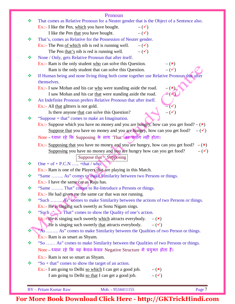| Mob. - 9534411155                                                                                                     | Page 7                        |
|-----------------------------------------------------------------------------------------------------------------------|-------------------------------|
|                                                                                                                       |                               |
| $ (\checkmark)$<br>I am going to Delhi so that I can get a good job.                                                  |                               |
| Ex.:- I am going to Delhi so which I can get a good job.<br>$-(\mathbf{x})$                                           |                               |
| Ex.:- Ram is not so smart as Shyam.<br>"So $+$ that" comes to show the target of an action.                           |                               |
|                                                                                                                       |                               |
| Note – ध्यान रहे कि यह केवल-केवल Negative Structure मे प्रयुक्त होता हैं।                                             |                               |
| $Ex.:$ Ram is as smart as Shyam.<br>"So  As" comes to make Similarity between the Qualities of two Persons or things. |                               |
| "As  As" comes to make Similarity between the Qualities of two Person or things.                                      |                               |
| He is singing such sweetly that attracts everybody.<br>$-(\checkmark)$                                                |                               |
| Ex.: He is singing such sweetly which attracts everybody. $-(x)$                                                      |                               |
|                                                                                                                       |                               |
| Ex.:- He is singing such sweetly as Sonu Nigam sings.                                                                 |                               |
| "Such  As" comes to make Similarity between the actions of two Persons or things.                                     |                               |
| $Ex.$ :- He had given me the same car that was not running.                                                           |                               |
| "Same  That" comes to Re-Introduce a Persons or things.                                                               |                               |
| Ex.:- I have the same car as Raju has.                                                                                |                               |
| "Same  As" comes to make Similarity between two Persons or things.                                                    |                               |
| Ex.:- Ram is one of the Players that are playing in this Match.                                                       |                               |
| One + of + P.C.N  +that / who.                                                                                        |                               |
| Suppose that $=$ Supposing                                                                                            |                               |
| Supposing you have no money and you are hungry how can you get food?                                                  | $-(\checkmark)$               |
| Ex.:- Supposing that you have no money and you are hungry, how can you get food?                                      | $-({\bf x})$                  |
| Note - ध्यान रहे कि Supposing के साथ 'That' का प्रयोग नहीं होता।                                                      |                               |
| Suppose that you have no money and you are hungry, how can you get food? $-(\checkmark)$                              |                               |
| Ex.:- Suppose which you have no money and you are hungry, how can you get food? $-(\star)$                            |                               |
| "Suppose + that" comes to make an Imagination.                                                                        |                               |
| Is there anyone that can solve this Question?                                                                         | $-(\checkmark)$               |
| Ex.:- All that glitters is not gold.                                                                                  | $=$ $\left(\checkmark\right)$ |
| An Indefinite Pronoun prefers Relative Pronoun that after itself.                                                     |                               |
| I saw Mohan and his car that were standing aside the road.                                                            |                               |
| Ex.:- I saw Mohan and his car who were standing aside the road.                                                       | $=$ $(x)$                     |
|                                                                                                                       |                               |
| If Human being and none living thing both come together use Relative Pronoun that after                               |                               |
| Ram is the only student that can solve this Question.                                                                 | $-$ ( $\checkmark$ )          |
| Ex.:- Ram is the only student $\underline{who}$ can solve this Question.                                              | $-({\bf x})$                  |
| None / Only, gets Relative Pronoun that after itself.                                                                 |                               |
| The Pen that's nib is red is running well.<br>$-(\checkmark)$                                                         |                               |
| Ex.:- The Pen of which nib is red is running well.<br>$ (\checkmark)$                                                 |                               |
| That's, comes as Relative for the Possession of Neuter gender.                                                        |                               |
| $-(\checkmark)$<br>I like the Pen that you have bought.                                                               |                               |
| Ex.:- I like the Pen, which you have bought.<br>$ (\checkmark)$                                                       |                               |
| That comes as Relative Pronoun for a Neuter gender that is the Object of a Sentence also.                             |                               |
|                                                                                                                       | Pronoun                       |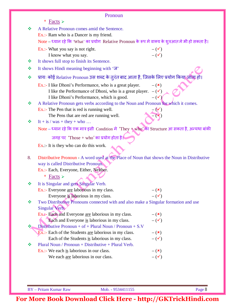|    | Pronoun                                                                                                 |                                 |
|----|---------------------------------------------------------------------------------------------------------|---------------------------------|
|    | * Facts $\triangleright$                                                                                |                                 |
| ❖  | A Relative Pronoun comes amid the Sentence.                                                             |                                 |
|    | Ex.:- Ram who is a Dancer is my friend.                                                                 |                                 |
|    | Note – ध्यान रहे कि 'What' का प्रयोग Relative Pronoun के रूप मे वाक्य के शुरुआत मे भी हो सकता है।       |                                 |
|    | Ex.:- What you say is not right.                                                                        | $-(\checkmark)$                 |
|    | I know what you say.                                                                                    | $-(\checkmark)$                 |
| ≪  | It shows full stop to finish its Sentence.                                                              |                                 |
| ❖  | It shows Hindi meaning beginning with 'ज'                                                               |                                 |
| ❖  | प्रायः कोई Relative Pronoun उस शब्द के तुरंत बाद आता है, जिसके लिए प्रयोग किया जाता हो।                 |                                 |
|    | Ex.:- I like Dhoni's Performance, who is a great player.                                                | $-({\bf x})$                    |
|    | I like the Performance of Dhoni, who is a great player. $-(\checkmark)$                                 |                                 |
|    | I like Dhoni's Performance, which is good.                                                              | $ (\checkmark)$                 |
| ≪  | A Relative Pronoun gets verbs according to the Noun and Pronoun for which it comes.                     |                                 |
|    | Ex.:- The Pen that is red is running well.                                                              |                                 |
| ≪  | The Pens that are red are running well.<br>It + is / was + they + who                                   |                                 |
|    | Note – ध्यान रहे कि एक मात्र इसी Condition में 'They + who' का Structure आ सकता है, अन्यथा बांकी        |                                 |
|    | जगह पर 'Those + who' का प्रयोग होता है।                                                                 |                                 |
|    |                                                                                                         |                                 |
|    | $Ex$ .:- It is they who can do this work.                                                               |                                 |
| 8. | Distributive Pronoun - A word used at the Place of Noun that shows the Noun in Distributive             |                                 |
|    | way is called Distributive Pronoum.                                                                     |                                 |
|    | Ex.:- Each, Everyone, Either, Neither.                                                                  |                                 |
|    | * Facts $\triangleright$                                                                                |                                 |
| ❖  | It is Singular and gets Singular Verb.                                                                  |                                 |
|    | Ex.:- Everyone are laborious in my class.                                                               | $-({\bf x})$                    |
|    | Everyone is laborious in my class.                                                                      | $ (\checkmark)$                 |
| ❖  | Two Distributive Pronouns connected with and also make a Singular formation and use                     |                                 |
|    | Singular Verb.                                                                                          |                                 |
|    | Ex. A- Each and Everyone are laborious in my class.                                                     | $-({\bf x})$                    |
|    | Each and Everyone is laborious in my class.                                                             | $-(\checkmark)$                 |
| ❖  | Distributive Pronoun + of + Plural Noun / Pronoun + $S.V$                                               |                                 |
|    | Ex.:- Each of the Students are laborious in my class.<br>Each of the Students is laborious in my class. | $-({\bf x})$<br>$-(\checkmark)$ |
| ❖  | Plural Noun / Pronoun + Distributive + Plural Verb.                                                     |                                 |
|    | Ex.:- We each is laborious in our class.                                                                | $-({\bf x})$                    |
|    | We each are laborious in our class.                                                                     | $-(\checkmark)$                 |
|    |                                                                                                         |                                 |
|    |                                                                                                         |                                 |
|    |                                                                                                         |                                 |

BY – Pritam Kumar Raw Mob. - 9534411155 Page 8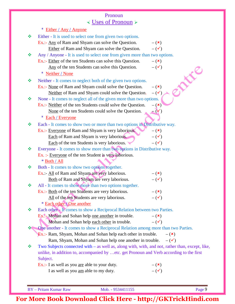### Pronoun Uses of Pronoun

|   | $*$ Either / Any / Anyone                                                                       |                               |
|---|-------------------------------------------------------------------------------------------------|-------------------------------|
| ❖ | Either - It is used to select one from given two options.                                       |                               |
|   | Ex.:- Any of Ram and Shyam can solve the Question.                                              | $-({\bf x})$                  |
|   | Either of Ram and Shyam can solve the Question.                                                 | $-(\checkmark)$               |
| ❖ | Any / Anyone - It is used to select one from given more than two options.                       |                               |
|   | Ex.:- Either of the ten Students can solve this Question.                                       | $-({\bf x})$                  |
|   | Any of the ten Students can solve this Question.                                                | $-(\checkmark)$               |
|   | * Neither / None                                                                                | EN 18                         |
| ❖ | Neither - It comes to neglect both of the given two options.                                    |                               |
|   | Ex.:- None of Ram and Shyam could solve the Question.                                           | $-({\bf x})$                  |
|   | Neither of Ram and Shyam could solve the Question.                                              | $-(\checkmark)$               |
| ❖ | None - It comes to neglect all of the given more than two options.                              |                               |
|   | Ex.:- Neither of the ten Students could solve the Question.                                     | $-({\bf x})$                  |
|   | None of the ten Students could solve the Question.                                              |                               |
|   | Each / Everyone<br>$\star$                                                                      |                               |
|   | Each - It comes to show two or more than two options in Distributive way.                       |                               |
|   | Ex.:- Everyone of Ram and Shyam is very laborious.                                              | $-({\bf x})$                  |
|   | Each of Ram and Shyam is very laborious.                                                        | $-(\checkmark)$               |
|   | Each of the ten Students is very laborious.                                                     | $ (\checkmark)$               |
| ❖ | Everyone - It comes to show more than two options in Distributive way.                          |                               |
|   | Ex. :- Everyone of the ten Student is very laborious.                                           |                               |
|   | * Both / All                                                                                    |                               |
| ❖ | Both - It comes to show two options together.                                                   |                               |
|   | Ex.:- All of Ram and Shyam are very laborious.                                                  | $-(\star)$                    |
|   | Both of Ram and Shyam are very laborious.                                                       | $-(\checkmark)$               |
| ❖ | All - It comes to show more than two options together.                                          |                               |
|   | Ex.:- Both of the ten Students are very laborious.                                              | $-({\bf x})$                  |
|   | All of the ten Students are very laborious.                                                     | $-(\checkmark)$               |
|   | * Each other / One another                                                                      |                               |
| ❖ | Each other - It comes to show a Reciprocal Relation between two Parties.                        |                               |
|   | Ex.:- Mohan and Sohan help one another in trouble.                                              | $-({\bf x})$                  |
|   | Mohan and Sohan help each other in trouble.                                                     | $-(\checkmark)$               |
|   | One another - It comes to show a Reciprocal Relation among more than two Parties.               |                               |
|   | Ex.:- Ram, Shyam, Mohan and Sohan help each other in trouble.                                   | $-({\bf x})$                  |
|   | Ram, Shyam, Mohan and Sohan help one another in trouble. $-(\checkmark)$                        |                               |
| ❖ | Two Subjects connected with – as well as, along with, with, and not, rather than, except, like, |                               |
|   | unlike, in addition to, accompanied by etc. get Pronoun and Verb according to the first         |                               |
|   | Subject.<br>Ex.:- I as well as you <u>are</u> able to your duty.                                |                               |
|   | I as well as you am able to my duty.                                                            | $-(\star)$<br>$-(\checkmark)$ |
|   |                                                                                                 |                               |
|   |                                                                                                 |                               |

BY – Pritam Kumar Raw Mob. - 9534411155 Page 9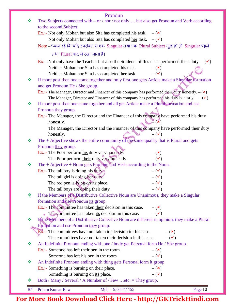|   | Pronoun                                                                                                   |
|---|-----------------------------------------------------------------------------------------------------------|
| ❖ | Two Subjects connected with – or / nor / not only but also get Pronoun and Verb according                 |
|   | to the second Subject.                                                                                    |
|   | Ex.:- Not only Mohan but also Sita has completed <u>his</u> task. $-(\star)$                              |
|   | Not only Mohan but also Sita has completed <u>her</u> task. $-(\checkmark)$                               |
|   | Note – ध्यान रहे कि यदि उपरोक्त से एक Singular तथा एक Plural Subject जुड़ा हो तो Singular पहले            |
|   | तथा Plural बाद मे रखा जाता हैं।                                                                           |
|   | Ex.:- Not only have the Teacher but also the Students of this class performed their duty. $-(\checkmark)$ |
|   | Neither Mohan nor Sita has completed his task.<br>$-({\bf x})$                                            |
|   | Neither Mohan nor Sita has completed her task.<br>$ (\checkmark)$                                         |
| ❖ | If more post then one come together and only first one gets Article make a Singular formation             |
|   | and get Pronoun He / She group.                                                                           |
|   | Ex.:- The Manager, Director and Financer of this company has performed their duty honestly. $-(\star)$    |
|   | The Manager, Director and Financer of this company has performed his duty honestly. $-(\checkmark)$       |
| ❖ | If more post then one came together and all get Article make a Plural formation and use                   |
|   | Pronoun they group.                                                                                       |
|   | Ex.:- The Manager, the Director and the Financer of this company have performed his duty                  |
|   | $\mathbb{Z}(\mathbf{x})$<br>honestly.                                                                     |
|   | The Manager, the Director and the Financer of this company have performed their duty                      |
|   | honestly.<br>$-(\checkmark)$                                                                              |
| ❖ | The $+$ Adjective shows the entire community of the same quality that is Plural and gets                  |
|   | Pronoun they group.                                                                                       |
|   | Ex.:- The Poor perform his duty very honestly.<br>$-({\bf x})$                                            |
|   | $-(\checkmark)$<br>The Poor perform their duty very honestly.                                             |
| ❖ | The $+$ Adjective $+$ Noun gets Pronoun and Verb according to the Noun.                                   |
|   | Ex.:- The tall boy is doing his duty<br>$-(\checkmark)$                                                   |
|   | The tall girl is doing her duty.<br>$-(\checkmark)$                                                       |
|   | The red pen is lying on its place.<br>$-(\checkmark)$                                                     |
|   | $ (\checkmark)$<br>The tall boys are doing their duty.                                                    |
| ❖ | If the Members of a Distributive Collective Noun are Unanimous, they make a Singular                      |
|   | formation and use Pronoun its group.                                                                      |
|   | Ex.:- The committee has taken their decision in this case.<br>$-({\bf x})$                                |
|   | The committee has taken its decision in this case.<br>$-(\checkmark)$                                     |
| ❖ | If the Members of a Distributive Collective Noun are different in opinion, they make a Plural             |
|   | formation and use Pronoun they group.                                                                     |
|   | $Ex$ .:- The committees have not taken its decision in this case.<br>$-$ ( $\mathbf{x}$ )                 |
|   | The committees have not taken their decision in this case.<br>$-(\checkmark)$                             |
| ❖ | An Indefinite Pronoun ending with one / body get Personal form He / She group.                            |
|   | Ex.:- Someone has left their pen in the room.<br>$-({\bf x})$                                             |
|   | $-(\checkmark)$<br>Someone has left his pen in the room.                                                  |
| ❖ | An Indefinite Pronoun ending with thing gets Personal form it group.                                      |
|   | Ex.:- Something is burning on their place.<br>$-({\bf x})$                                                |
|   | $-(\checkmark)$<br>Something is burning on its place.                                                     |
| ❖ | Both / Many / Several / A Number of / Few etc. = They group.                                              |
|   | <b>BY</b> - Pritam Kumar Raw<br>Page 10<br>Mob. - 9534411155                                              |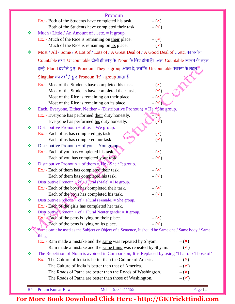|    | Pronoun                                                                                                                             |
|----|-------------------------------------------------------------------------------------------------------------------------------------|
|    | Ex.:- Both of the Students have completed his task.<br>$-({\bf x})$                                                                 |
|    | Both of the Students have completed their task.<br>$-(\checkmark)$                                                                  |
| ❖  | Much / Little / An Amount of etc. = It group.                                                                                       |
|    | Ex.:- Much of the Rice is remaining on their place.<br>$-({\bf x})$                                                                 |
|    | $-(\checkmark)$<br>Much of the Rice is remaining on its place.                                                                      |
| ❖  | Most / All / Some / A Lot of / Lots of / A Great Deal of / A Good Deal of etc. का प्रयोग                                            |
|    | Countable तथा Uncountable दोनों ही तरह के Noun के लिए होता हैं। अतः Countable स्वरूप के तहत                                         |
|    | इन्हे Plural दर्शाते हुए Pronoun 'They' - group आता है, जबकि Uncountable स्वरूप के तहत्                                             |
|    | Singular रूप दर्शाते हुए Pronoun 'It' - group आता हैं।                                                                              |
|    | Ex.:- Most of the Students have completed his task.<br>$-({\bf x})$                                                                 |
|    | $-(\checkmark)$<br>Most of the Students have completed their task.                                                                  |
|    | Most of the Rice is remaining on their place.<br>$-({\bf x})$                                                                       |
|    | Most of the Rice is remaining on its place.<br>$-$ ( $\checkmark$                                                                   |
| 豪  | Each, Everyone, Either, Neither – (Distributive Pronoun) = He / She group.                                                          |
|    | Ex.:- Everyone has performed their duty honestly.<br>$=$ $\left( \frac{\mathbf{x}}{\mathbf{y}}\right)$                              |
|    | Everyone has performed his duty honestly.                                                                                           |
| ❖  | Distributive Pronoun + of $us = We group$ .                                                                                         |
|    | Ex.:- Each of us has completed his task.<br>$-({\bf x})$                                                                            |
|    | $-(\checkmark)$<br>Each of us has completed our task.                                                                               |
| ❖  | Distributive Pronoun + of you = You group.                                                                                          |
|    | Ex.:- Each of you has completed his task.<br>$-({\bf x})$                                                                           |
|    | $-(\checkmark)$<br>Each of you has completed your task.                                                                             |
| ❖  | Distributive Pronoun + of them = $\text{He}$ / She / It group.                                                                      |
|    | Ex.:- Each of them has completed their task.<br>$-({\bf x})$                                                                        |
|    | Each of them has completed his task.<br>$-(\checkmark)$                                                                             |
| ❖  | Distributive Pronoun $+$ of $+$ Plural (Male) = He group.                                                                           |
|    | Ex.:- Each of the boys has completed their task.<br>$-({\bf x})$                                                                    |
| ∙⊱ | $-(\checkmark)$<br>Each of the boys has completed his task.                                                                         |
|    | Distributive Pronoun <sup><math>+</math></sup> of + Plural (Female) = She group.<br>Ex.:- Each of the girls has completed her task. |
| ❖  | Distributive Pronoun + of + Plural Neuter gender = It group.                                                                        |
|    | $Ex$ .: Each of the pens is lying on their place.<br>$-({\bf x})$                                                                   |
|    | $ (\checkmark)$<br>Each of the pens is lying on its place.                                                                          |
|    | Same can't be used as the Subject or Object of a Sentence, It should be Same one / Same body / Same                                 |
|    | thing.                                                                                                                              |
|    | Ex.:- Ram made a mistake and the same was repeated by Shyam.<br>$-({\bf x})$                                                        |
|    | Ram made a mistake and the same thing was repeated by Shyam.<br>$-(\checkmark)$                                                     |
| ÷  | The Repetition of Noun is avoided in Comparison, It is Replaced by using 'That of / Those of'                                       |
|    | Ex.:- The Culture of India is better than the Culture of America.<br>$-({\bf x})$                                                   |
|    | The Culture of India is better than that of America.<br>$-(\checkmark)$                                                             |
|    | The Roads of Patna are better than the Roads of Washington.<br>$-({\bf x})$                                                         |
|    | $-(\checkmark)$<br>The Roads of Patna are better than those of Washington.                                                          |
|    |                                                                                                                                     |
|    | <b>BY</b> - Pritam Kumar Raw<br>Mob. - 9534411155<br>Page 11                                                                        |